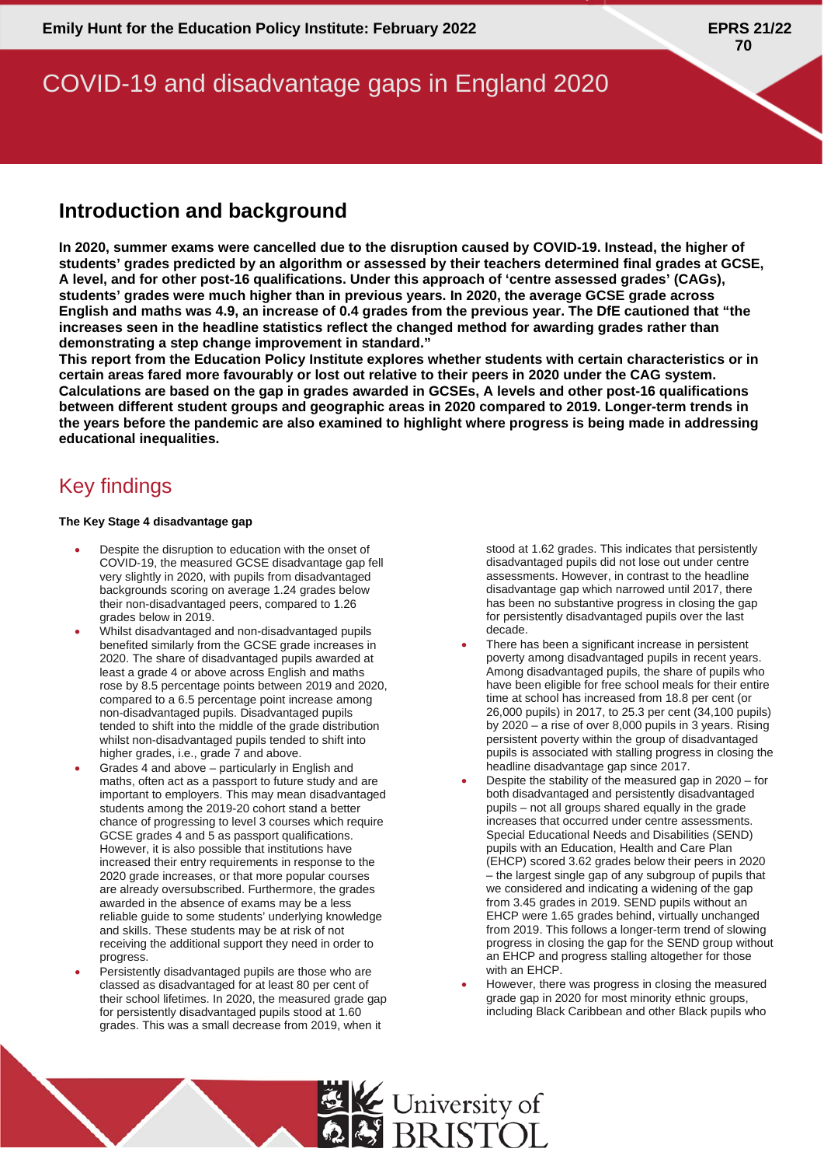# COVID-19 and disadvantage gaps in England 2020

## **Introduction and background**

**In 2020, summer exams were cancelled due to the disruption caused by COVID-19. Instead, the higher of students' grades predicted by an algorithm or assessed by their teachers determined final grades at GCSE, A level, and for other post-16 qualifications. Under this approach of 'centre assessed grades' (CAGs), students' grades were much higher than in previous years. In 2020, the average GCSE grade across English and maths was 4.9, an increase of 0.4 grades from the previous year. The DfE cautioned that "the increases seen in the headline statistics reflect the changed method for awarding grades rather than demonstrating a step change improvement in standard."**

**This report from the Education Policy Institute explores whether students with certain characteristics or in certain areas fared more favourably or lost out relative to their peers in 2020 under the CAG system. Calculations are based on the gap in grades awarded in GCSEs, A levels and other post-16 qualifications between different student groups and geographic areas in 2020 compared to 2019. Longer-term trends in the years before the pandemic are also examined to highlight where progress is being made in addressing educational inequalities.** 

# Key findings

#### **The Key Stage 4 disadvantage gap**

- Despite the disruption to education with the onset of COVID-19, the measured GCSE disadvantage gap fell very slightly in 2020, with pupils from disadvantaged backgrounds scoring on average 1.24 grades below their non-disadvantaged peers, compared to 1.26 grades below in 2019.
- Whilst disadvantaged and non-disadvantaged pupils benefited similarly from the GCSE grade increases in 2020. The share of disadvantaged pupils awarded at least a grade 4 or above across English and maths rose by 8.5 percentage points between 2019 and 2020, compared to a 6.5 percentage point increase among non-disadvantaged pupils. Disadvantaged pupils tended to shift into the middle of the grade distribution whilst non-disadvantaged pupils tended to shift into higher grades, i.e., grade 7 and above.
- Grades 4 and above particularly in English and maths, often act as a passport to future study and are important to employers. This may mean disadvantaged students among the 2019-20 cohort stand a better chance of progressing to level 3 courses which require GCSE grades 4 and 5 as passport qualifications. However, it is also possible that institutions have increased their entry requirements in response to the 2020 grade increases, or that more popular courses are already oversubscribed. Furthermore, the grades awarded in the absence of exams may be a less reliable guide to some students' underlying knowledge and skills. These students may be at risk of not receiving the additional support they need in order to progress.
- Persistently disadvantaged pupils are those who are classed as disadvantaged for at least 80 per cent of their school lifetimes. In 2020, the measured grade gap for persistently disadvantaged pupils stood at 1.60 grades. This was a small decrease from 2019, when it

stood at 1.62 grades. This indicates that persistently disadvantaged pupils did not lose out under centre assessments. However, in contrast to the headline disadvantage gap which narrowed until 2017, there has been no substantive progress in closing the gap for persistently disadvantaged pupils over the last decade.

- There has been a significant increase in persistent poverty among disadvantaged pupils in recent years. Among disadvantaged pupils, the share of pupils who have been eligible for free school meals for their entire time at school has increased from 18.8 per cent (or 26,000 pupils) in 2017, to 25.3 per cent (34,100 pupils) by 2020 – a rise of over 8,000 pupils in 3 years. Rising persistent poverty within the group of disadvantaged pupils is associated with stalling progress in closing the headline disadvantage gap since 2017.
- Despite the stability of the measured gap in 2020 for both disadvantaged and persistently disadvantaged pupils – not all groups shared equally in the grade increases that occurred under centre assessments. Special Educational Needs and Disabilities (SEND) pupils with an Education, Health and Care Plan (EHCP) scored 3.62 grades below their peers in 2020 – the largest single gap of any subgroup of pupils that we considered and indicating a widening of the gap from 3.45 grades in 2019. SEND pupils without an EHCP were 1.65 grades behind, virtually unchanged from 2019. This follows a longer-term trend of slowing progress in closing the gap for the SEND group without an EHCP and progress stalling altogether for those with an EHCP.
- However, there was progress in closing the measured grade gap in 2020 for most minority ethnic groups, including Black Caribbean and other Black pupils who